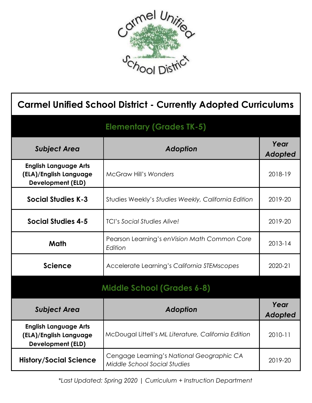

| <b>Carmel Unified School District - Currently Adopted Curriculums</b>              |                                                                           |                 |  |  |
|------------------------------------------------------------------------------------|---------------------------------------------------------------------------|-----------------|--|--|
| <b>Elementary (Grades TK-5)</b>                                                    |                                                                           |                 |  |  |
| <b>Subject Area</b>                                                                | Adoption                                                                  | Year<br>Adopted |  |  |
| <b>English Language Arts</b><br>(ELA)/English Language<br><b>Development (ELD)</b> | <b>McGraw Hill's Wonders</b>                                              | 2018-19         |  |  |
| <b>Social Studies K-3</b>                                                          | Studies Weekly's Studies Weekly, California Edition                       | 2019-20         |  |  |
| <b>Social Studies 4-5</b>                                                          | <b>TCI's Social Studies Alive!</b>                                        | 2019-20         |  |  |
| Math                                                                               | Pearson Learning's enVision Math Common Core<br>Edition                   | 2013-14         |  |  |
| <b>Science</b>                                                                     | Accelerate Learning's California STEMscopes                               | 2020-21         |  |  |
| <b>Middle School (Grades 6-8)</b>                                                  |                                                                           |                 |  |  |
| <b>Subject Area</b>                                                                | Adoption                                                                  | Year<br>Adopted |  |  |
| <b>English Language Arts</b><br>(ELA)/English Language<br><b>Development (ELD)</b> | McDougal Littell's ML Literature, California Edition                      | 2010-11         |  |  |
| <b>History/Social Science</b>                                                      | Cengage Learning's National Geographic CA<br>Middle School Social Studies | 2019-20         |  |  |

*\*Last Updated: Spring 2020 | Curriculum + Instruction Department*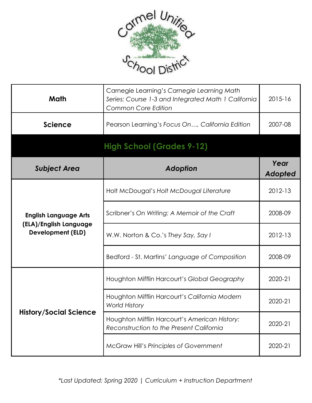

| Math                                                                               | Carnegie Learning's Carnegie Learning Math<br>Series: Course 1-3 and Integrated Math 1 California<br><b>Common Core Edition</b> | 2015-16         |
|------------------------------------------------------------------------------------|---------------------------------------------------------------------------------------------------------------------------------|-----------------|
| <b>Science</b>                                                                     | Pearson Learning's Focus On, California Edition                                                                                 | 2007-08         |
|                                                                                    | <b>High School (Grades 9-12)</b>                                                                                                |                 |
| <b>Subject Area</b>                                                                | <b>Adoption</b>                                                                                                                 | Year<br>Adopted |
| <b>English Language Arts</b><br>(ELA)/English Language<br><b>Development (ELD)</b> | Holt McDougal's Holt McDougal Literature                                                                                        | 2012-13         |
|                                                                                    | Scribner's On Writing: A Memoir of the Craft                                                                                    | 2008-09         |
|                                                                                    | W.W. Norton & Co.'s They Say, Say I                                                                                             | 2012-13         |
|                                                                                    | Bedford - St. Martins' Language of Composition                                                                                  | 2008-09         |
| <b>History/Social Science</b>                                                      | Houghton Mifflin Harcourt's Global Geography                                                                                    | 2020-21         |
|                                                                                    | Houghton Mifflin Harcourt's California Modern<br><b>World History</b>                                                           | 2020-21         |
|                                                                                    | Houghton Mifflin Harcourt's American History:<br>Reconstruction to the Present California                                       | 2020-21         |
|                                                                                    | McGraw Hill's Principles of Government                                                                                          | 2020-21         |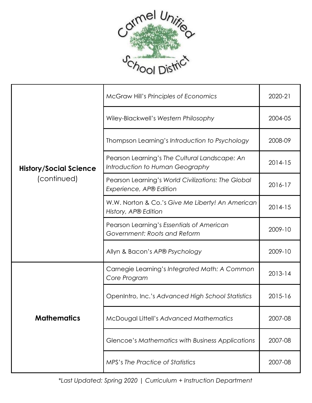

| <b>History/Social Science</b><br>(continued) | <b>McGraw Hill's Principles of Economics</b>                                     | 2020-21     |
|----------------------------------------------|----------------------------------------------------------------------------------|-------------|
|                                              | Wiley-Blackwell's Western Philosophy                                             | 2004-05     |
|                                              | Thompson Learning's Introduction to Psychology                                   | 2008-09     |
|                                              | Pearson Learning's The Cultural Landscape: An<br>Introduction to Human Geography | $2014 - 15$ |
|                                              | Pearson Learning's World Civilizations: The Global<br>Experience, AP® Edition    | 2016-17     |
|                                              | W.W. Norton & Co.'s Give Me Liberty! An American<br>History, AP® Edition         | 2014-15     |
|                                              | Pearson Learning's Essentials of American<br>Government: Roots and Reform        | 2009-10     |
|                                              | Allyn & Bacon's AP® Psychology                                                   | 2009-10     |
| <b>Mathematics</b>                           | Carnegie Learning's Integrated Math: A Common<br>Core Program                    | $2013 - 14$ |
|                                              | OpenIntro, Inc.'s Advanced High School Statistics                                | 2015-16     |
|                                              | McDougal Littell's Advanced Mathematics                                          | 2007-08     |
|                                              | Glencoe's Mathematics with Business Applications                                 | 2007-08     |
|                                              | MPS's The Practice of Statistics                                                 | 2007-08     |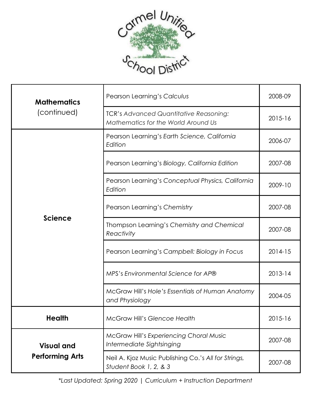

| <b>Mathematics</b><br>(continued)           | Pearson Learning's Calculus                                                          | 2008-09     |
|---------------------------------------------|--------------------------------------------------------------------------------------|-------------|
|                                             | <b>TCR's Advanced Quantitative Reasoning:</b><br>Mathematics for the World Around Us | 2015-16     |
| <b>Science</b>                              | Pearson Learning's Earth Science, California<br>Edition                              | 2006-07     |
|                                             | Pearson Learning's Biology, California Edition                                       | 2007-08     |
|                                             | Pearson Learning's Conceptual Physics, California<br>Edition                         | 2009-10     |
|                                             | Pearson Learning's Chemistry                                                         | 2007-08     |
|                                             | Thompson Learning's Chemistry and Chemical<br>Reactivity                             | 2007-08     |
|                                             | Pearson Learning's Campbell: Biology in Focus                                        | $2014 - 15$ |
|                                             | MPS's Environmental Science for AP®                                                  | $2013 - 14$ |
|                                             | McGraw Hill's Hole's Essentials of Human Anatomy<br>and Physiology                   | 2004-05     |
| <b>Health</b>                               | <b>McGraw Hill's Glencoe Health</b>                                                  | 2015-16     |
| <b>Visual and</b><br><b>Performing Arts</b> | <b>McGraw Hill's Experiencing Choral Music</b><br>Intermediate Sightsinging          | 2007-08     |
|                                             | Neil A. Kjoz Music Publishing Co.'s All for Strings,<br>Student Book 1, 2, & 3       | 2007-08     |